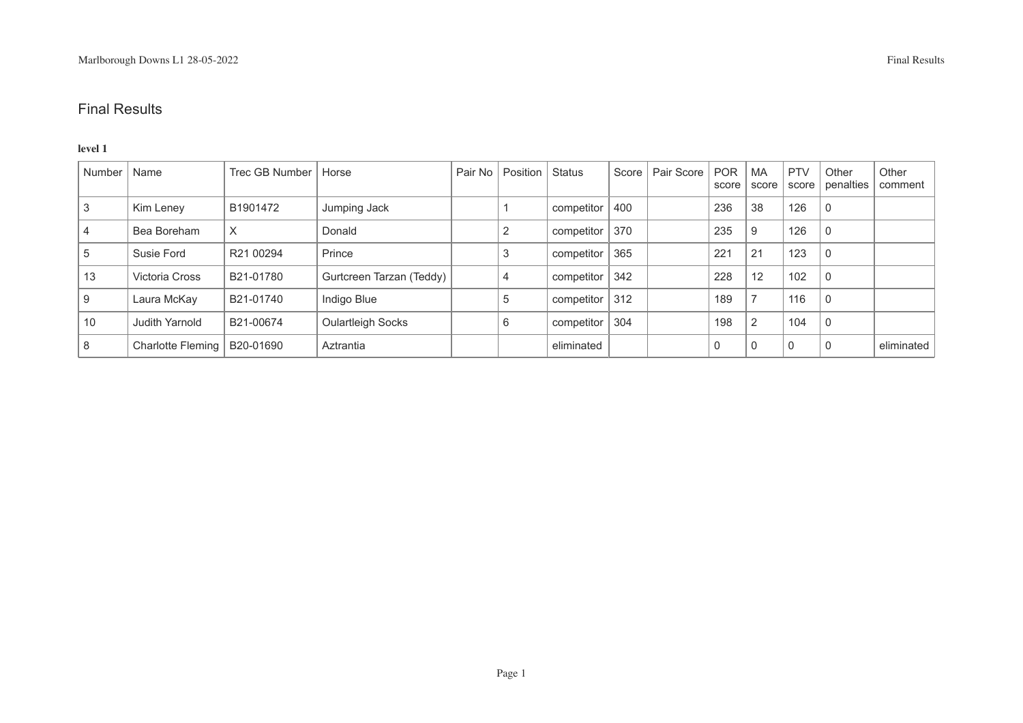#### **level 1**

| Number | Name                          | Trec GB Number   Horse |                          | Pair No | Position Status |                    |     | Score   Pair Score | <b>POR</b><br>score | MA<br>score | <b>PTV</b> | Other<br>score penalties | Other<br>comment |
|--------|-------------------------------|------------------------|--------------------------|---------|-----------------|--------------------|-----|--------------------|---------------------|-------------|------------|--------------------------|------------------|
|        | Kim Leney                     | B1901472               | Jumping Jack             |         |                 | competitor         | 400 |                    | 236                 | 38          | 126        | 0                        |                  |
|        | Bea Boreham                   | X                      | Donald                   |         |                 | competitor         | 370 |                    | 235                 | 9           | 126        | $\overline{0}$           |                  |
| ່ວ     | Susie Ford                    | R21 00294              | Prince                   |         |                 | competitor         | 365 |                    | 221                 | 21          | 123        | $\overline{0}$           |                  |
| 13     | Victoria Cross                | B21-01780              | Gurtcreen Tarzan (Teddy) |         |                 | competitor   342   |     |                    | 228                 | 12          | 102        | $\Omega$                 |                  |
|        | Laura McKay                   | B21-01740              | Indigo Blue              |         | 5               | competitor $ 312 $ |     |                    | 189                 |             | 116        | $\Omega$                 |                  |
| 10     | Judith Yarnold                | B21-00674              | <b>Oulartleigh Socks</b> |         | 6               | competitor         | 304 |                    | 198                 |             | 104        | $\overline{0}$           |                  |
| 8      | Charlotte Fleming   B20-01690 |                        | Aztrantia                |         |                 | eliminated         |     |                    | 0                   | 0           | 0          | $\overline{0}$           | eliminated       |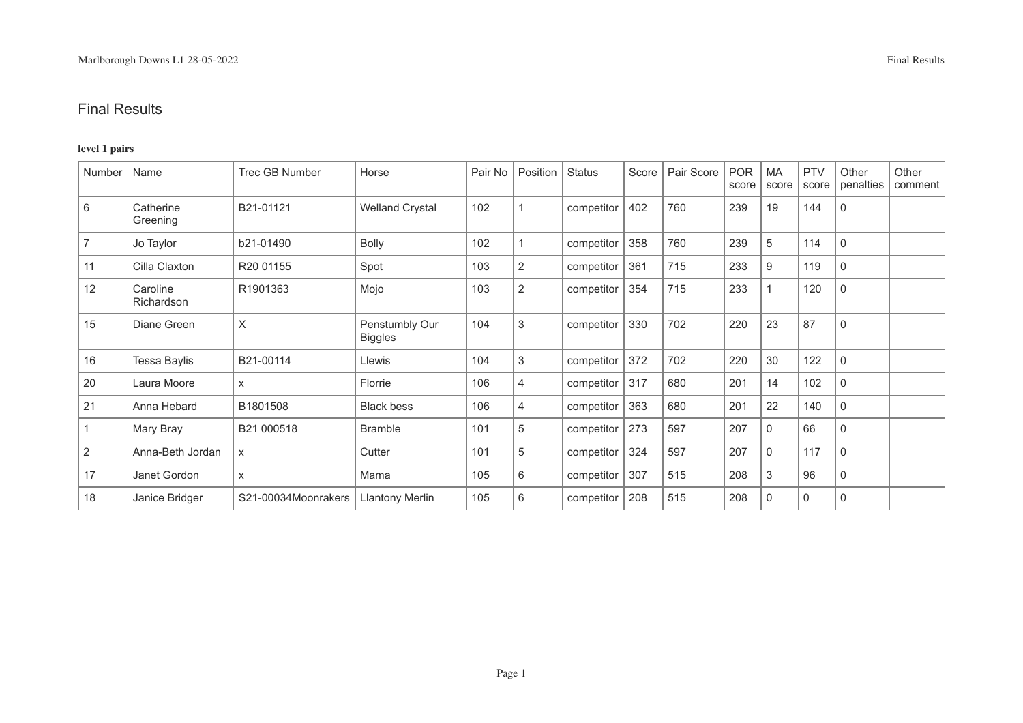### **level 1 pairs**

| Number         | Name                   | <b>Trec GB Number</b> | Horse                            | Pair No | Position   | <b>Status</b> | Score | Pair Score | <b>POR</b><br>score | <b>MA</b><br>score | <b>PTV</b><br>score | Other<br>penalties | Other<br>comment |
|----------------|------------------------|-----------------------|----------------------------------|---------|------------|---------------|-------|------------|---------------------|--------------------|---------------------|--------------------|------------------|
| 6              | Catherine<br>Greening  | B21-01121             | <b>Welland Crystal</b>           | 102     |            | competitor    | 402   | 760        | 239                 | 19                 | 144                 | $\mathbf 0$        |                  |
| $\overline{7}$ | Jo Taylor              | b21-01490             | <b>Bolly</b>                     | 102     |            | competitor    | 358   | 760        | 239                 | 5                  | 114                 | 0                  |                  |
| 11             | Cilla Claxton          | R <sub>20</sub> 01155 | Spot                             | 103     | 2          | competitor    | 361   | 715        | 233                 | 9                  | 119                 | 0                  |                  |
| 12             | Caroline<br>Richardson | R1901363              | Mojo                             | 103     | $\sqrt{2}$ | competitor    | 354   | 715        | 233                 |                    | 120                 | 0                  |                  |
| 15             | Diane Green            | X                     | Penstumbly Our<br><b>Biggles</b> | 104     | 3          | competitor    | 330   | 702        | 220                 | 23                 | 87                  | 0                  |                  |
| 16             | Tessa Baylis           | B21-00114             | Llewis                           | 104     | 3          | competitor    | 372   | 702        | 220                 | 30                 | 122                 | 0                  |                  |
| 20             | Laura Moore            | $\times$              | Florrie                          | 106     | 4          | competitor    | 317   | 680        | 201                 | 14                 | 102                 | 0                  |                  |
| 21             | Anna Hebard            | B1801508              | <b>Black bess</b>                | 106     | 4          | competitor    | 363   | 680        | 201                 | 22                 | 140                 | 0                  |                  |
|                | Mary Bray              | B21 000518            | <b>Bramble</b>                   | 101     | 5          | competitor    | 273   | 597        | 207                 | 0                  | 66                  | 0                  |                  |
| $\overline{2}$ | Anna-Beth Jordan       | X                     | Cutter                           | 101     | 5          | competitor    | 324   | 597        | 207                 | $\Omega$           | 117                 | 0                  |                  |
| 17             | Janet Gordon           | X                     | Mama                             | 105     | 6          | competitor    | 307   | 515        | 208                 | 3                  | 96                  | 0                  |                  |
| 18             | Janice Bridger         | S21-00034Moonrakers   | Llantony Merlin                  | 105     | 6          | competitor    | 208   | 515        | 208                 | $\mathbf 0$        | $\mathbf 0$         | 0                  |                  |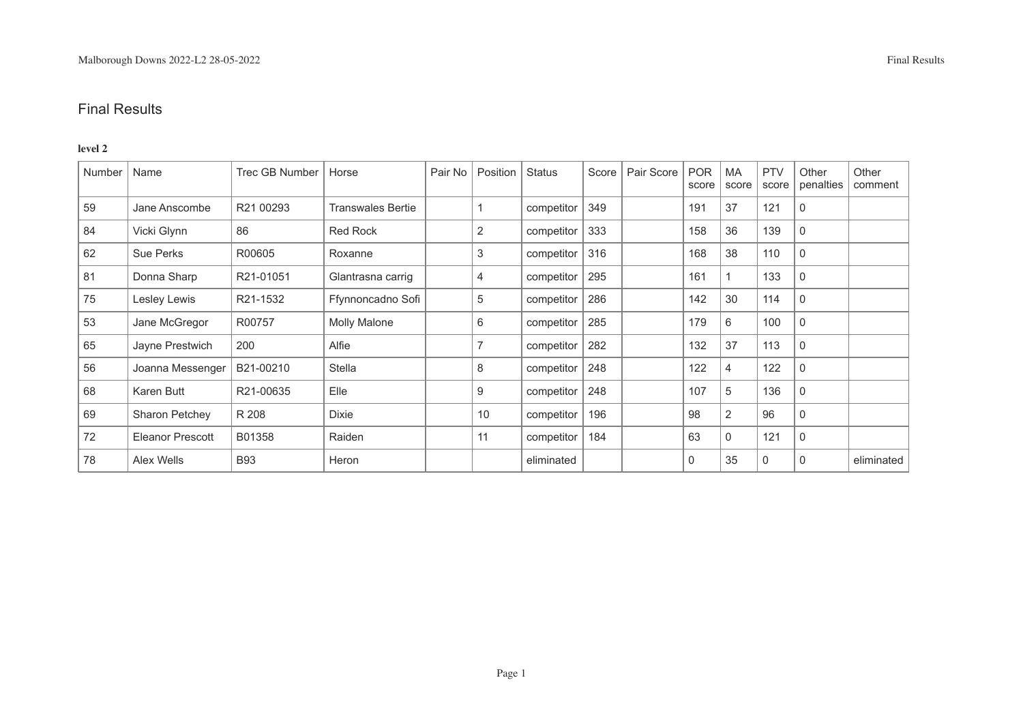#### **level 2**

| Number | Name             | <b>Trec GB Number</b> | Horse                    | Pair No | Position | <b>Status</b> | Score | Pair Score | <b>POR</b><br>score | MA<br>score    | <b>PTV</b><br>score | Other<br>penalties | Other<br>comment |
|--------|------------------|-----------------------|--------------------------|---------|----------|---------------|-------|------------|---------------------|----------------|---------------------|--------------------|------------------|
| 59     | Jane Anscombe    | R21 00293             | <b>Transwales Bertie</b> |         |          | competitor    | 349   |            | 191                 | 37             | 121                 | 0                  |                  |
| 84     | Vicki Glynn      | 86                    | <b>Red Rock</b>          |         | 2        | competitor    | 333   |            | 158                 | 36             | 139                 | $\mathbf{0}$       |                  |
| 62     | Sue Perks        | R00605                | Roxanne                  |         | 3        | competitor    | 316   |            | 168                 | 38             | 110                 | $\mathbf 0$        |                  |
| 81     | Donna Sharp      | R21-01051             | Glantrasna carrig        |         | 4        | competitor    | 295   |            | 161                 |                | 133                 | $\mathbf 0$        |                  |
| 75     | Lesley Lewis     | R21-1532              | Ffynnoncadno Sofi        |         | 5        | competitor    | 286   |            | 142                 | 30             | 114                 | 0                  |                  |
| 53     | Jane McGregor    | R00757                | Molly Malone             |         | 6        | competitor    | 285   |            | 179                 | 6              | 100                 | 0                  |                  |
| 65     | Jayne Prestwich  | 200                   | Alfie                    |         |          | competitor    | 282   |            | 132                 | 37             | 113                 | 0                  |                  |
| 56     | Joanna Messenger | B21-00210             | Stella                   |         | 8        | competitor    | 248   |            | 122                 | 4              | 122                 | 0                  |                  |
| 68     | Karen Butt       | R21-00635             | Elle                     |         | 9        | competitor    | 248   |            | 107                 | 5              | 136                 | $\mathbf 0$        |                  |
| 69     | Sharon Petchey   | R 208                 | Dixie                    |         | 10       | competitor    | 196   |            | 98                  | $\overline{2}$ | 96                  | 0                  |                  |
| 72     | Eleanor Prescott | B01358                | Raiden                   |         | 11       | competitor    | 184   |            | 63                  | $\mathbf{0}$   | 121                 | 0                  |                  |
| 78     | Alex Wells       | <b>B93</b>            | Heron                    |         |          | eliminated    |       |            | $\mathbf 0$         | 35             | 0                   | $\Omega$           | eliminated       |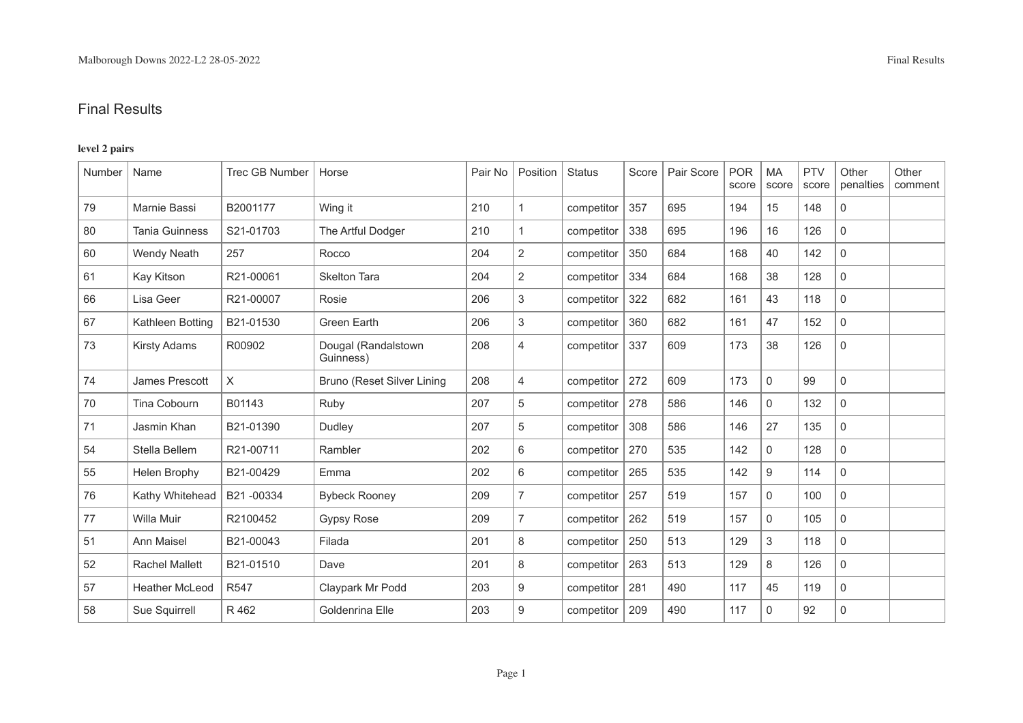### **level 2 pairs**

| Number | Name                  | <b>Trec GB Number</b> | Horse                            | Pair No | Position       | <b>Status</b> | Score | Pair Score | <b>POR</b><br>score | <b>MA</b><br>score | <b>PTV</b><br>score | Other<br>penalties  | Other<br>comment |
|--------|-----------------------|-----------------------|----------------------------------|---------|----------------|---------------|-------|------------|---------------------|--------------------|---------------------|---------------------|------------------|
| 79     | Marnie Bassi          | B2001177              | Wing it                          | 210     | $\mathbf{1}$   | competitor    | 357   | 695        | 194                 | 15                 | 148                 | $\mathbf 0$         |                  |
| 80     | <b>Tania Guinness</b> | S21-01703             | The Artful Dodger                | 210     | $\mathbf{1}$   | competitor    | 338   | 695        | 196                 | 16                 | 126                 | $\mathbf 0$         |                  |
| 60     | <b>Wendy Neath</b>    | 257                   | Rocco                            | 204     | 2              | competitor    | 350   | 684        | 168                 | 40                 | 142                 | $\mathbf{0}$        |                  |
| 61     | Kay Kitson            | R21-00061             | <b>Skelton Tara</b>              | 204     | $\overline{2}$ | competitor    | 334   | 684        | 168                 | 38                 | 128                 | $\mathbf 0$         |                  |
| 66     | Lisa Geer             | R21-00007             | Rosie                            | 206     | 3              | competitor    | 322   | 682        | 161                 | 43                 | 118                 | $\mathbf 0$         |                  |
| 67     | Kathleen Botting      | B21-01530             | <b>Green Earth</b>               | 206     | 3              | competitor    | 360   | 682        | 161                 | 47                 | 152                 | $\mathbf 0$         |                  |
| 73     | <b>Kirsty Adams</b>   | R00902                | Dougal (Randalstown<br>Guinness) | 208     | $\overline{4}$ | competitor    | 337   | 609        | 173                 | 38                 | 126                 | $\mathbf 0$         |                  |
| 74     | James Prescott        | X                     | Bruno (Reset Silver Lining       | 208     | $\overline{4}$ | competitor    | 272   | 609        | 173                 | $\mathsf{O}$       | 99                  | $\mathsf{O}\xspace$ |                  |
| 70     | Tina Cobourn          | B01143                | Ruby                             | 207     | 5              | competitor    | 278   | 586        | 146                 | $\mathbf 0$        | 132                 | $\mathsf{O}\xspace$ |                  |
| 71     | Jasmin Khan           | B21-01390             | Dudley                           | 207     | 5              | competitor    | 308   | 586        | 146                 | 27                 | 135                 | $\mathbf 0$         |                  |
| 54     | Stella Bellem         | R21-00711             | Rambler                          | 202     | 6              | competitor    | 270   | 535        | 142                 | $\mathbf 0$        | 128                 | $\mathbf 0$         |                  |
| 55     | Helen Brophy          | B21-00429             | Emma                             | 202     | 6              | competitor    | 265   | 535        | 142                 | 9                  | 114                 | $\mathbf 0$         |                  |
| 76     | Kathy Whitehead       | B21-00334             | <b>Bybeck Rooney</b>             | 209     | $\overline{7}$ | competitor    | 257   | 519        | 157                 | $\mathbf 0$        | 100                 | $\mathbf 0$         |                  |
| 77     | Willa Muir            | R2100452              | <b>Gypsy Rose</b>                | 209     | $\overline{7}$ | competitor    | 262   | 519        | 157                 | $\mathbf 0$        | 105                 | $\mathbf 0$         |                  |
| 51     | Ann Maisel            | B21-00043             | Filada                           | 201     | $\,8\,$        | competitor    | 250   | 513        | 129                 | 3                  | 118                 | $\mathsf{O}\xspace$ |                  |
| 52     | <b>Rachel Mallett</b> | B21-01510             | Dave                             | 201     | 8              | competitor    | 263   | 513        | 129                 | 8                  | 126                 | $\mathbf 0$         |                  |
| 57     | <b>Heather McLeod</b> | R <sub>547</sub>      | Claypark Mr Podd                 | 203     | 9              | competitor    | 281   | 490        | 117                 | 45                 | 119                 | $\mathbf 0$         |                  |
| 58     | Sue Squirrell         | R 462                 | Goldenrina Elle                  | 203     | 9              | competitor    | 209   | 490        | 117                 | $\mathbf 0$        | 92                  | $\mathbf 0$         |                  |